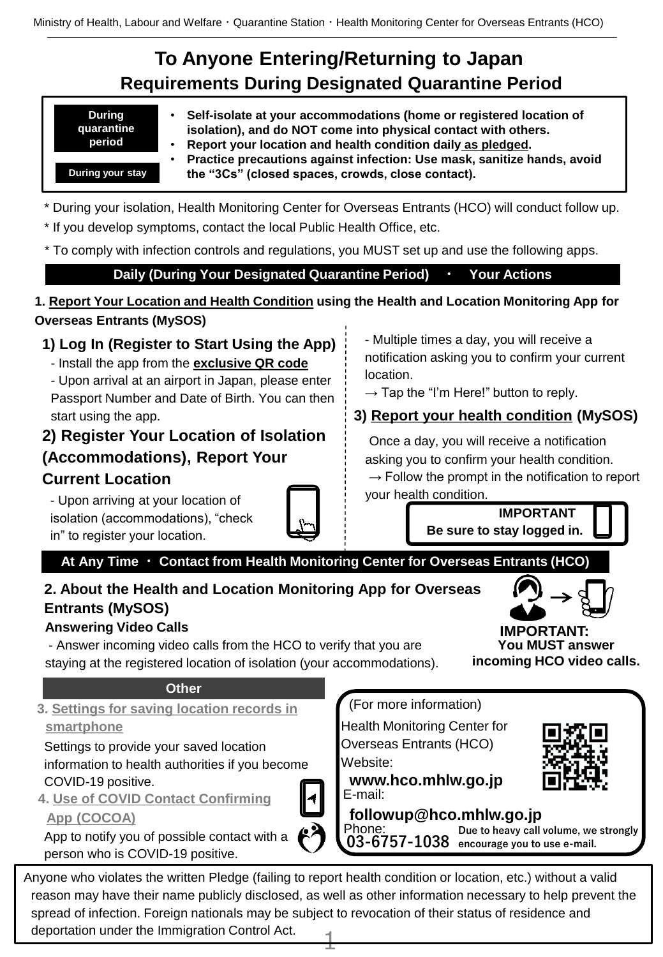Ministry of Health, Labour and Welfare・Quarantine Station・Health Monitoring Center for Overseas Entrants (HCO)

## **To Anyone Entering/Returning to Japan Requirements During Designated Quarantine Period**

| <b>During</b> |  |
|---------------|--|
| quarantine    |  |
|               |  |
| period        |  |

**During your stay**

- **Self-isolate at your accommodations (home or registered location of isolation), and do NOT come into physical contact with others.**
- **Report your location and health condition daily as pledged.**
- **Practice precautions against infection: Use mask, sanitize hands, avoid the "3Cs" (closed spaces, crowds, close contact).**
- \* During your isolation, Health Monitoring Center for Overseas Entrants (HCO) will conduct follow up.
- \* If you develop symptoms, contact the local Public Health Office, etc.
- \* To comply with infection controls and regulations, you MUST set up and use the following apps.

**Daily (During Your Designated Quarantine Period) ・ Your Actions**

### **1. Report Your Location and Health Condition using the Health and Location Monitoring App for Overseas Entrants (MySOS)**

## **1) Log In (Register to Start Using the App)**

- Install the app from the **exclusive QR code**

- Upon arrival at an airport in Japan, please enter Passport Number and Date of Birth. You can then start using the app.

### **2) Register Your Location of Isolation (Accommodations), Report Your Current Location**

- Upon arriving at your location of isolation (accommodations), "check in" to register your location.



- Multiple times a day, you will receive a notification asking you to confirm your current location.

 $\rightarrow$  Tap the "I'm Here!" button to reply.

## **3) Report your health condition (MySOS)**

Once a day, you will receive a notification asking you to confirm your health condition.  $\rightarrow$  Follow the prompt in the notification to report your health condition.

> **Be sure to stay logged in. IMPORTANT**

**At Any Time ・ Contact from Health Monitoring Center for Overseas Entrants (HCO)**

## **2. About the Health and Location Monitoring App for Overseas Entrants (MySOS)**

#### **Answering Video Calls**

- Answer incoming video calls from the HCO to verify that you are staying at the registered location of isolation (your accommodations).

#### **Other**

**3. Settings for saving location records in smartphone**

Settings to provide your saved location information to health authorities if you become COVID-19 positive.

**4. Use of COVID Contact Confirming** 



**App (COCOA)**

App to notify you of possible contact with a person who is COVID-19 positive.

(For more information)

Health Monitoring Center for Overseas Entrants (HCO) Website:

**www.hco.mhlw.go.jp** E-mail:

**followup@hco.mhlw.go.jp** Phone:

**03-6757-1038 encourage you to use e-mail.Due to heavy call volume, we strongly** 

 $\pm$ Anyone who violates the written Pledge (failing to report health condition or location, etc.) without a valid reason may have their name publicly disclosed, as well as other information necessary to help prevent the spread of infection. Foreign nationals may be subject to revocation of their status of residence and deportation under the Immigration Control Act.

**You MUST answer incoming HCO video calls. IMPORTANT:**

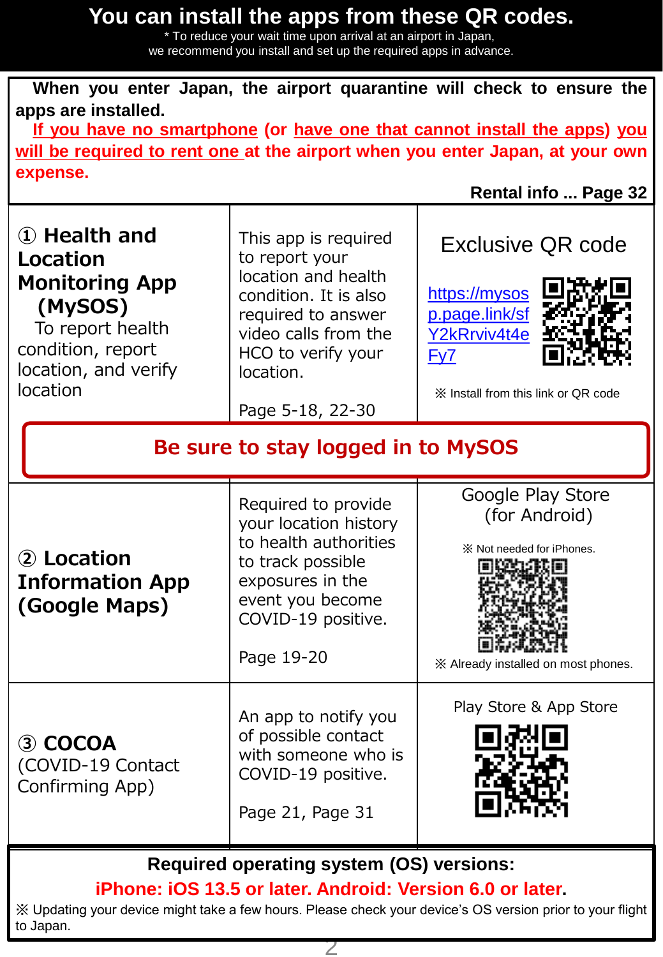## **You can install the apps from these QR codes.**

\* To reduce your wait time upon arrival at an airport in Japan, we recommend you install and set up the required apps in advance.

**When you enter Japan, the airport quarantine will check to ensure the apps are installed.**

**If you have no smartphone (or have one that cannot install the apps) you will be required to rent one at the airport when you enter Japan, at your own expense.**

**Rental info ... Page 32**

| 1 Health and<br><b>Location</b><br><b>Monitoring App</b><br>(MySOS)<br>To report health<br>condition, report<br>location, and verify<br>location | This app is required<br>to report your<br>location and health<br>condition. It is also<br>required to answer<br>video calls from the<br>HCO to verify your<br>location.<br>Page 5-18, 22-30 | <b>Exclusive QR code</b><br>https://mysos<br>p.page.link/sf<br>Y2kRrviv4t4e<br>Fy7<br>X Install from this link or QR code |  |  |  |
|--------------------------------------------------------------------------------------------------------------------------------------------------|---------------------------------------------------------------------------------------------------------------------------------------------------------------------------------------------|---------------------------------------------------------------------------------------------------------------------------|--|--|--|
| Be sure to stay logged in to MySOS                                                                                                               |                                                                                                                                                                                             |                                                                                                                           |  |  |  |
| 2 Location<br><b>Information App</b><br>(Google Maps)                                                                                            | Required to provide<br>your location history<br>to health authorities<br>to track possible<br>exposures in the<br>event you become<br>COVID-19 positive.<br>Page 19-20                      | Google Play Store<br>(for Android)<br>* Not needed for iPhones.<br>※ Already installed on most phones.                    |  |  |  |
| 3 COCOA<br>(COVID-19 Contact<br>Confirming App)                                                                                                  | An app to notify you<br>of possible contact<br>with someone who is<br>COVID-19 positive.<br>Page 21, Page 31                                                                                | Play Store & App Store                                                                                                    |  |  |  |
| <b>Required operating system (OS) versions:</b>                                                                                                  |                                                                                                                                                                                             |                                                                                                                           |  |  |  |

**iPhone: iOS 13.5 or later. Android: Version 6.0 or later.**

※ Updating your device might take a few hours. Please check your device's OS version prior to your flight to Japan.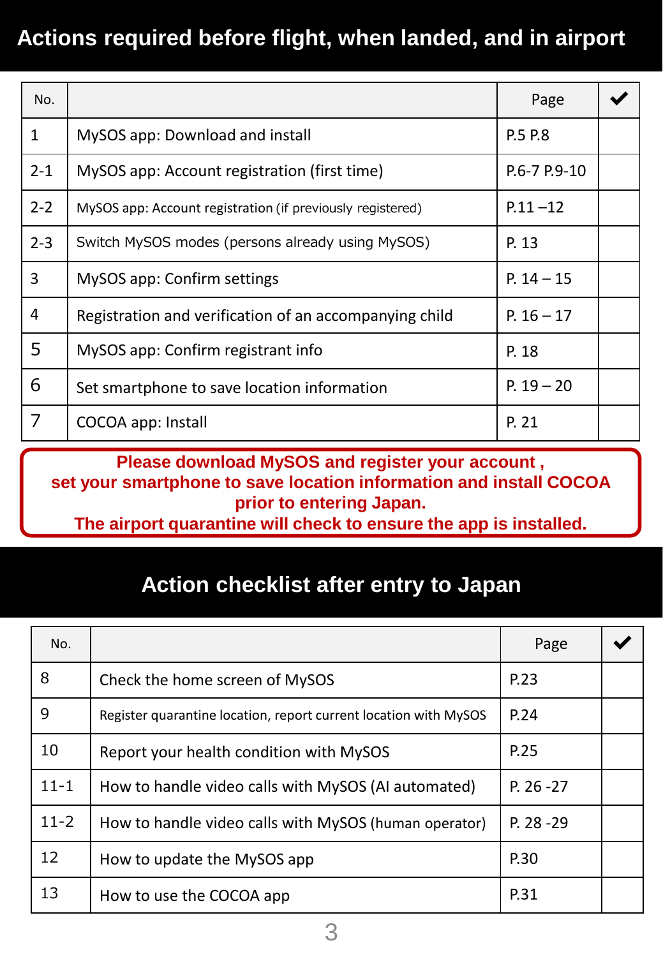# **Actions required before flight, when landed, and in airport**

| No.          |                                                            | Page               |  |
|--------------|------------------------------------------------------------|--------------------|--|
| $\mathbf{1}$ | MySOS app: Download and install                            | P.5 P.8            |  |
| $2 - 1$      | MySOS app: Account registration (first time)               | $P.6 - 7 P.9 - 10$ |  |
| $2 - 2$      | MySOS app: Account registration (if previously registered) | $P.11 - 12$        |  |
| $2 - 3$      | Switch MySOS modes (persons already using MySOS)           | P. 13              |  |
| 3            | MySOS app: Confirm settings                                | $P. 14 - 15$       |  |
| 4            | Registration and verification of an accompanying child     | P. $16 - 17$       |  |
| 5            | MySOS app: Confirm registrant info                         | P. 18              |  |
| 6            | Set smartphone to save location information                | $P. 19 - 20$       |  |
| 7            | COCOA app: Install                                         | P. 21              |  |

**Please download MySOS and register your account , set your smartphone to save location information and install COCOA prior to entering Japan.** 

**The airport quarantine will check to ensure the app is installed.**

# **Action checklist after entry to Japan**

| No.      |                                                                  | Page         |  |
|----------|------------------------------------------------------------------|--------------|--|
| 8        | Check the home screen of MySOS                                   | P.23         |  |
| 9        | Register quarantine location, report current location with MySOS | P.24         |  |
| 10       | Report your health condition with MySOS                          | P.25         |  |
| $11 - 1$ | How to handle video calls with MySOS (AI automated)              | $P. 26 - 27$ |  |
| $11 - 2$ | How to handle video calls with MySOS (human operator)            | P. 28 - 29   |  |
| 12       | How to update the MySOS app                                      | P.30         |  |
| 13       | How to use the COCOA app                                         | P.31         |  |